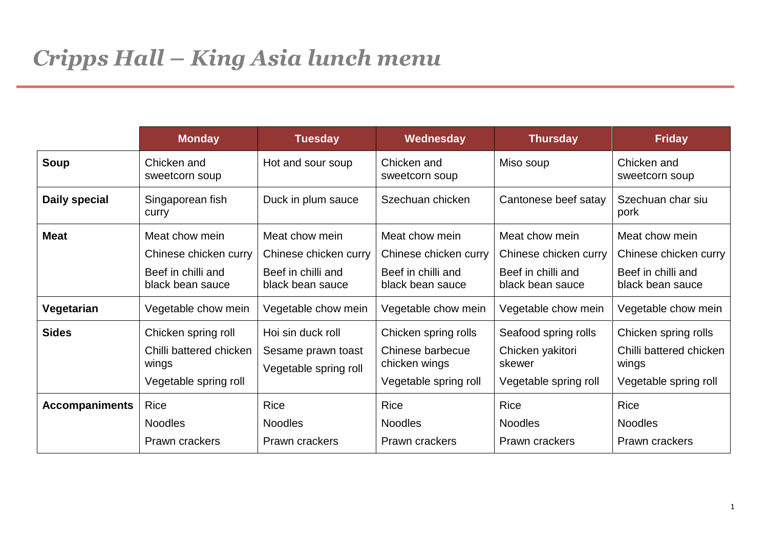|                       | <b>Monday</b>                                                                    | <b>Tuesday</b>                                                   | Wednesday                                                                          | <b>Thursday</b>                                                             | <b>Friday</b>                                                                     |
|-----------------------|----------------------------------------------------------------------------------|------------------------------------------------------------------|------------------------------------------------------------------------------------|-----------------------------------------------------------------------------|-----------------------------------------------------------------------------------|
| Soup                  | Chicken and<br>sweetcorn soup                                                    | Hot and sour soup                                                | Chicken and<br>sweetcorn soup                                                      | Miso soup                                                                   | Chicken and<br>sweetcorn soup                                                     |
| <b>Daily special</b>  | Singaporean fish<br>curry                                                        | Duck in plum sauce                                               | Szechuan chicken                                                                   | Cantonese beef satay                                                        | Szechuan char siu<br>pork                                                         |
| <b>Meat</b>           | Meat chow mein<br>Chinese chicken curry                                          | Meat chow mein<br>Chinese chicken curry                          | Meat chow mein<br>Chinese chicken curry                                            | Meat chow mein<br>Chinese chicken curry                                     | Meat chow mein<br>Chinese chicken curry                                           |
|                       | Beef in chilli and<br>black bean sauce                                           | Beef in chilli and<br>black bean sauce                           | Beef in chilli and<br>black bean sauce                                             | Beef in chilli and<br>black bean sauce                                      | Beef in chilli and<br>black bean sauce                                            |
| Vegetarian            | Vegetable chow mein                                                              | Vegetable chow mein                                              | Vegetable chow mein                                                                | Vegetable chow mein                                                         | Vegetable chow mein                                                               |
| <b>Sides</b>          | Chicken spring roll<br>Chilli battered chicken<br>wings<br>Vegetable spring roll | Hoi sin duck roll<br>Sesame prawn toast<br>Vegetable spring roll | Chicken spring rolls<br>Chinese barbecue<br>chicken wings<br>Vegetable spring roll | Seafood spring rolls<br>Chicken yakitori<br>skewer<br>Vegetable spring roll | Chicken spring rolls<br>Chilli battered chicken<br>wings<br>Vegetable spring roll |
| <b>Accompaniments</b> | Rice<br><b>Noodles</b><br>Prawn crackers                                         | <b>Rice</b><br><b>Noodles</b><br>Prawn crackers                  | <b>Rice</b><br><b>Noodles</b><br>Prawn crackers                                    | <b>Rice</b><br><b>Noodles</b><br>Prawn crackers                             | <b>Rice</b><br><b>Noodles</b><br>Prawn crackers                                   |